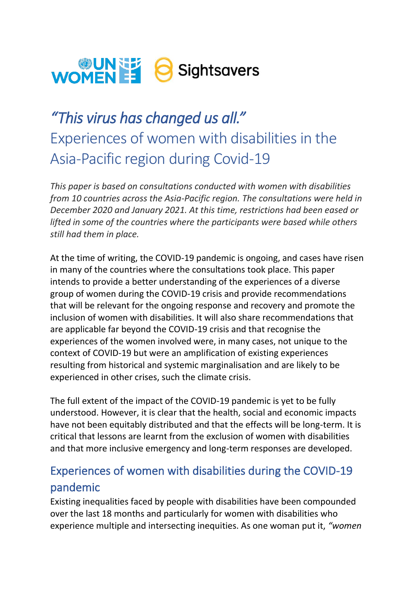# WOMENE & Sightsavers

# *"This virus has changed us all."* Experiences of women with disabilities in the Asia-Pacific region during Covid-19

*This paper is based on consultations conducted with women with disabilities from 10 countries across the Asia-Pacific region. The consultations were held in December 2020 and January 2021. At this time, restrictions had been eased or lifted in some of the countries where the participants were based while others still had them in place.* 

At the time of writing, the COVID-19 pandemic is ongoing, and cases have risen in many of the countries where the consultations took place. This paper intends to provide a better understanding of the experiences of a diverse group of women during the COVID-19 crisis and provide recommendations that will be relevant for the ongoing response and recovery and promote the inclusion of women with disabilities. It will also share recommendations that are applicable far beyond the COVID-19 crisis and that recognise the experiences of the women involved were, in many cases, not unique to the context of COVID-19 but were an amplification of existing experiences resulting from historical and systemic marginalisation and are likely to be experienced in other crises, such the climate crisis.

The full extent of the impact of the COVID-19 pandemic is yet to be fully understood. However, it is clear that the health, social and economic impacts have not been equitably distributed and that the effects will be long-term. It is critical that lessons are learnt from the exclusion of women with disabilities and that more inclusive emergency and long-term responses are developed.

# Experiences of women with disabilities during the COVID-19 pandemic

Existing inequalities faced by people with disabilities have been compounded over the last 18 months and particularly for women with disabilities who experience multiple and intersecting inequities. As one woman put it, *"women*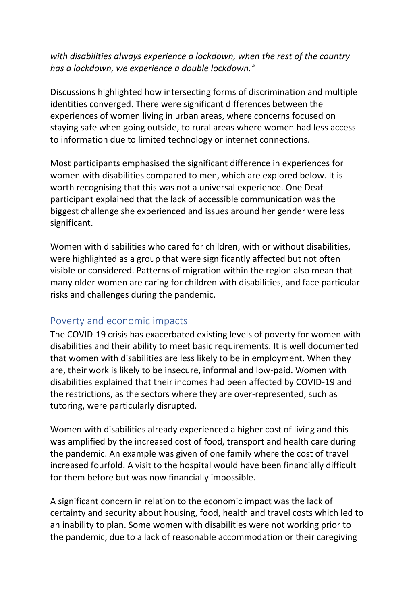#### *with disabilities always experience a lockdown, when the rest of the country has a lockdown, we experience a double lockdown."*

Discussions highlighted how intersecting forms of discrimination and multiple identities converged. There were significant differences between the experiences of women living in urban areas, where concerns focused on staying safe when going outside, to rural areas where women had less access to information due to limited technology or internet connections.

Most participants emphasised the significant difference in experiences for women with disabilities compared to men, which are explored below. It is worth recognising that this was not a universal experience. One Deaf participant explained that the lack of accessible communication was the biggest challenge she experienced and issues around her gender were less significant.

Women with disabilities who cared for children, with or without disabilities, were highlighted as a group that were significantly affected but not often visible or considered. Patterns of migration within the region also mean that many older women are caring for children with disabilities, and face particular risks and challenges during the pandemic.

#### Poverty and economic impacts

The COVID-19 crisis has exacerbated existing levels of poverty for women with disabilities and their ability to meet basic requirements. It is well documented that women with disabilities are less likely to be in employment. When they are, their work is likely to be insecure, informal and low-paid. Women with disabilities explained that their incomes had been affected by COVID-19 and the restrictions, as the sectors where they are over-represented, such as tutoring, were particularly disrupted.

Women with disabilities already experienced a higher cost of living and this was amplified by the increased cost of food, transport and health care during the pandemic. An example was given of one family where the cost of travel increased fourfold. A visit to the hospital would have been financially difficult for them before but was now financially impossible.

A significant concern in relation to the economic impact was the lack of certainty and security about housing, food, health and travel costs which led to an inability to plan. Some women with disabilities were not working prior to the pandemic, due to a lack of reasonable accommodation or their caregiving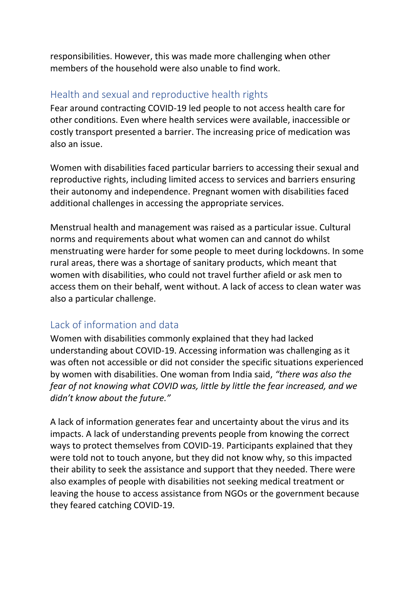responsibilities. However, this was made more challenging when other members of the household were also unable to find work.

#### Health and sexual and reproductive health rights

Fear around contracting COVID-19 led people to not access health care for other conditions. Even where health services were available, inaccessible or costly transport presented a barrier. The increasing price of medication was also an issue.

Women with disabilities faced particular barriers to accessing their sexual and reproductive rights, including limited access to services and barriers ensuring their autonomy and independence. Pregnant women with disabilities faced additional challenges in accessing the appropriate services.

Menstrual health and management was raised as a particular issue. Cultural norms and requirements about what women can and cannot do whilst menstruating were harder for some people to meet during lockdowns. In some rural areas, there was a shortage of sanitary products, which meant that women with disabilities, who could not travel further afield or ask men to access them on their behalf, went without. A lack of access to clean water was also a particular challenge.

#### Lack of information and data

Women with disabilities commonly explained that they had lacked understanding about COVID-19. Accessing information was challenging as it was often not accessible or did not consider the specific situations experienced by women with disabilities. One woman from India said, *"there was also the fear of not knowing what COVID was, little by little the fear increased, and we didn't know about the future."* 

A lack of information generates fear and uncertainty about the virus and its impacts. A lack of understanding prevents people from knowing the correct ways to protect themselves from COVID-19. Participants explained that they were told not to touch anyone, but they did not know why, so this impacted their ability to seek the assistance and support that they needed. There were also examples of people with disabilities not seeking medical treatment or leaving the house to access assistance from NGOs or the government because they feared catching COVID-19.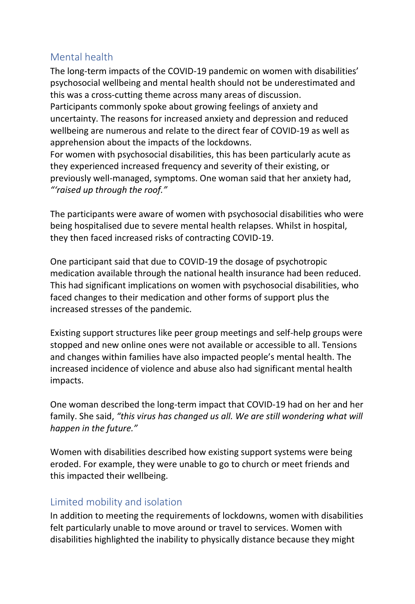#### Mental health

The long-term impacts of the COVID-19 pandemic on women with disabilities' psychosocial wellbeing and mental health should not be underestimated and this was a cross-cutting theme across many areas of discussion.

Participants commonly spoke about growing feelings of anxiety and uncertainty. The reasons for increased anxiety and depression and reduced wellbeing are numerous and relate to the direct fear of COVID-19 as well as apprehension about the impacts of the lockdowns.

For women with psychosocial disabilities, this has been particularly acute as they experienced increased frequency and severity of their existing, or previously well-managed, symptoms. One woman said that her anxiety had, *"'raised up through the roof."* 

The participants were aware of women with psychosocial disabilities who were being hospitalised due to severe mental health relapses. Whilst in hospital, they then faced increased risks of contracting COVID-19.

One participant said that due to COVID-19 the dosage of psychotropic medication available through the national health insurance had been reduced. This had significant implications on women with psychosocial disabilities, who faced changes to their medication and other forms of support plus the increased stresses of the pandemic.

Existing support structures like peer group meetings and self-help groups were stopped and new online ones were not available or accessible to all. Tensions and changes within families have also impacted people's mental health. The increased incidence of violence and abuse also had significant mental health impacts.

One woman described the long-term impact that COVID-19 had on her and her family. She said, *"this virus has changed us all. We are still wondering what will happen in the future."*

Women with disabilities described how existing support systems were being eroded. For example, they were unable to go to church or meet friends and this impacted their wellbeing.

#### Limited mobility and isolation

In addition to meeting the requirements of lockdowns, women with disabilities felt particularly unable to move around or travel to services. Women with disabilities highlighted the inability to physically distance because they might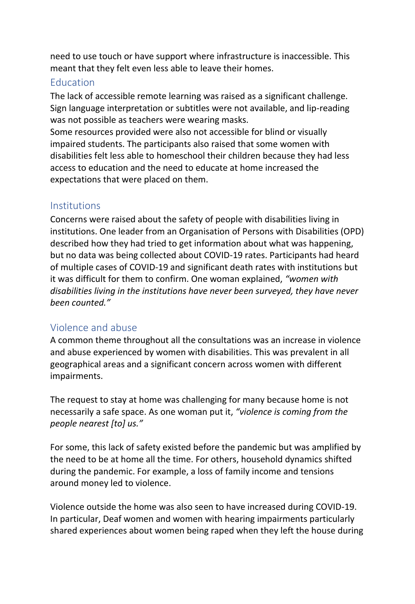need to use touch or have support where infrastructure is inaccessible. This meant that they felt even less able to leave their homes.

#### Education

The lack of accessible remote learning was raised as a significant challenge. Sign language interpretation or subtitles were not available, and lip-reading was not possible as teachers were wearing masks.

Some resources provided were also not accessible for blind or visually impaired students. The participants also raised that some women with disabilities felt less able to homeschool their children because they had less access to education and the need to educate at home increased the expectations that were placed on them.

#### **Institutions**

Concerns were raised about the safety of people with disabilities living in institutions. One leader from an Organisation of Persons with Disabilities (OPD) described how they had tried to get information about what was happening, but no data was being collected about COVID-19 rates. Participants had heard of multiple cases of COVID-19 and significant death rates with institutions but it was difficult for them to confirm. One woman explained, *"women with disabilities living in the institutions have never been surveyed, they have never been counted."*

#### Violence and abuse

A common theme throughout all the consultations was an increase in violence and abuse experienced by women with disabilities. This was prevalent in all geographical areas and a significant concern across women with different impairments.

The request to stay at home was challenging for many because home is not necessarily a safe space. As one woman put it, *"violence is coming from the people nearest [to] us."*

For some, this lack of safety existed before the pandemic but was amplified by the need to be at home all the time. For others, household dynamics shifted during the pandemic. For example, a loss of family income and tensions around money led to violence.

Violence outside the home was also seen to have increased during COVID-19. In particular, Deaf women and women with hearing impairments particularly shared experiences about women being raped when they left the house during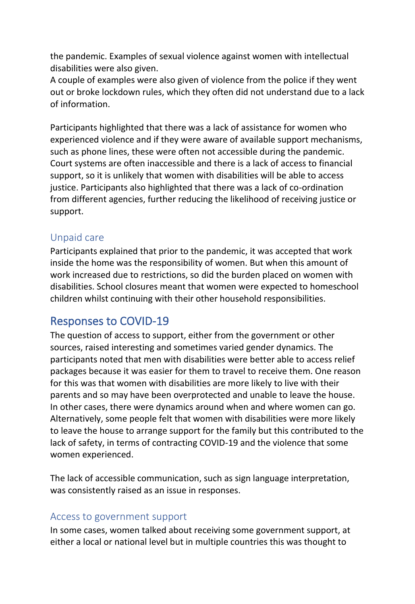the pandemic. Examples of sexual violence against women with intellectual disabilities were also given.

A couple of examples were also given of violence from the police if they went out or broke lockdown rules, which they often did not understand due to a lack of information.

Participants highlighted that there was a lack of assistance for women who experienced violence and if they were aware of available support mechanisms, such as phone lines, these were often not accessible during the pandemic. Court systems are often inaccessible and there is a lack of access to financial support, so it is unlikely that women with disabilities will be able to access justice. Participants also highlighted that there was a lack of co-ordination from different agencies, further reducing the likelihood of receiving justice or support.

#### Unpaid care

Participants explained that prior to the pandemic, it was accepted that work inside the home was the responsibility of women. But when this amount of work increased due to restrictions, so did the burden placed on women with disabilities. School closures meant that women were expected to homeschool children whilst continuing with their other household responsibilities.

## Responses to COVID-19

The question of access to support, either from the government or other sources, raised interesting and sometimes varied gender dynamics. The participants noted that men with disabilities were better able to access relief packages because it was easier for them to travel to receive them. One reason for this was that women with disabilities are more likely to live with their parents and so may have been overprotected and unable to leave the house. In other cases, there were dynamics around when and where women can go. Alternatively, some people felt that women with disabilities were more likely to leave the house to arrange support for the family but this contributed to the lack of safety, in terms of contracting COVID-19 and the violence that some women experienced.

The lack of accessible communication, such as sign language interpretation, was consistently raised as an issue in responses.

#### Access to government support

In some cases, women talked about receiving some government support, at either a local or national level but in multiple countries this was thought to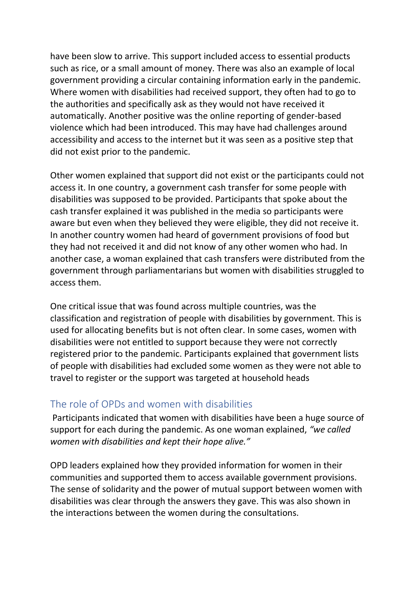have been slow to arrive. This support included access to essential products such as rice, or a small amount of money. There was also an example of local government providing a circular containing information early in the pandemic. Where women with disabilities had received support, they often had to go to the authorities and specifically ask as they would not have received it automatically. Another positive was the online reporting of gender-based violence which had been introduced. This may have had challenges around accessibility and access to the internet but it was seen as a positive step that did not exist prior to the pandemic.

Other women explained that support did not exist or the participants could not access it. In one country, a government cash transfer for some people with disabilities was supposed to be provided. Participants that spoke about the cash transfer explained it was published in the media so participants were aware but even when they believed they were eligible, they did not receive it. In another country women had heard of government provisions of food but they had not received it and did not know of any other women who had. In another case, a woman explained that cash transfers were distributed from the government through parliamentarians but women with disabilities struggled to access them.

One critical issue that was found across multiple countries, was the classification and registration of people with disabilities by government. This is used for allocating benefits but is not often clear. In some cases, women with disabilities were not entitled to support because they were not correctly registered prior to the pandemic. Participants explained that government lists of people with disabilities had excluded some women as they were not able to travel to register or the support was targeted at household heads

#### The role of OPDs and women with disabilities

Participants indicated that women with disabilities have been a huge source of support for each during the pandemic. As one woman explained, *"we called women with disabilities and kept their hope alive."* 

OPD leaders explained how they provided information for women in their communities and supported them to access available government provisions. The sense of solidarity and the power of mutual support between women with disabilities was clear through the answers they gave. This was also shown in the interactions between the women during the consultations.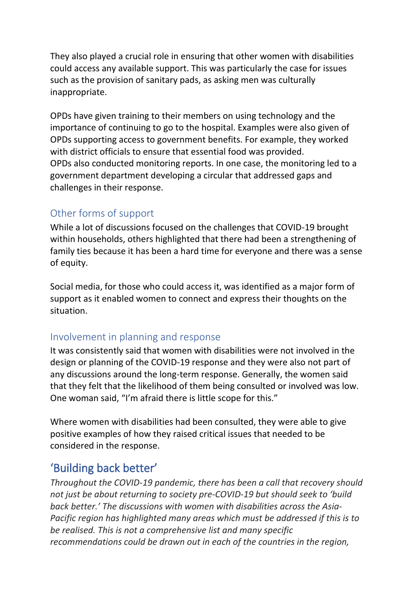They also played a crucial role in ensuring that other women with disabilities could access any available support. This was particularly the case for issues such as the provision of sanitary pads, as asking men was culturally inappropriate.

OPDs have given training to their members on using technology and the importance of continuing to go to the hospital. Examples were also given of OPDs supporting access to government benefits. For example, they worked with district officials to ensure that essential food was provided. OPDs also conducted monitoring reports. In one case, the monitoring led to a government department developing a circular that addressed gaps and challenges in their response.

#### Other forms of support

While a lot of discussions focused on the challenges that COVID-19 brought within households, others highlighted that there had been a strengthening of family ties because it has been a hard time for everyone and there was a sense of equity.

Social media, for those who could access it, was identified as a major form of support as it enabled women to connect and express their thoughts on the situation.

#### Involvement in planning and response

It was consistently said that women with disabilities were not involved in the design or planning of the COVID-19 response and they were also not part of any discussions around the long-term response. Generally, the women said that they felt that the likelihood of them being consulted or involved was low. One woman said, "I'm afraid there is little scope for this."

Where women with disabilities had been consulted, they were able to give positive examples of how they raised critical issues that needed to be considered in the response.

## 'Building back better'

*Throughout the COVID-19 pandemic, there has been a call that recovery should not just be about returning to society pre-COVID-19 but should seek to 'build back better.' The discussions with women with disabilities across the Asia-Pacific region has highlighted many areas which must be addressed if this is to be realised. This is not a comprehensive list and many specific recommendations could be drawn out in each of the countries in the region,*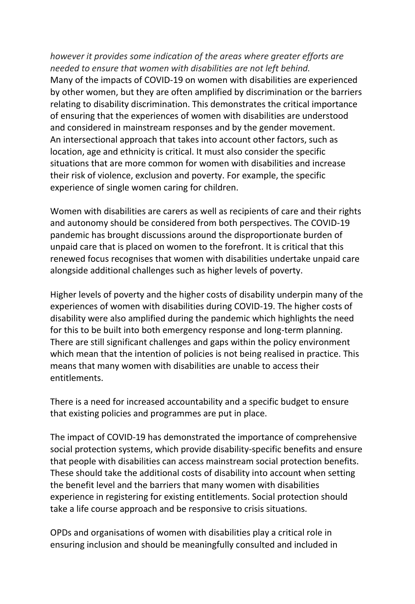*however it provides some indication of the areas where greater efforts are needed to ensure that women with disabilities are not left behind.*  Many of the impacts of COVID-19 on women with disabilities are experienced by other women, but they are often amplified by discrimination or the barriers relating to disability discrimination. This demonstrates the critical importance of ensuring that the experiences of women with disabilities are understood and considered in mainstream responses and by the gender movement. An intersectional approach that takes into account other factors, such as location, age and ethnicity is critical. It must also consider the specific situations that are more common for women with disabilities and increase their risk of violence, exclusion and poverty. For example, the specific experience of single women caring for children.

Women with disabilities are carers as well as recipients of care and their rights and autonomy should be considered from both perspectives. The COVID-19 pandemic has brought discussions around the disproportionate burden of unpaid care that is placed on women to the forefront. It is critical that this renewed focus recognises that women with disabilities undertake unpaid care alongside additional challenges such as higher levels of poverty.

Higher levels of poverty and the higher costs of disability underpin many of the experiences of women with disabilities during COVID-19. The higher costs of disability were also amplified during the pandemic which highlights the need for this to be built into both emergency response and long-term planning. There are still significant challenges and gaps within the policy environment which mean that the intention of policies is not being realised in practice. This means that many women with disabilities are unable to access their entitlements.

There is a need for increased accountability and a specific budget to ensure that existing policies and programmes are put in place.

The impact of COVID-19 has demonstrated the importance of comprehensive social protection systems, which provide disability-specific benefits and ensure that people with disabilities can access mainstream social protection benefits. These should take the additional costs of disability into account when setting the benefit level and the barriers that many women with disabilities experience in registering for existing entitlements. Social protection should take a life course approach and be responsive to crisis situations.

OPDs and organisations of women with disabilities play a critical role in ensuring inclusion and should be meaningfully consulted and included in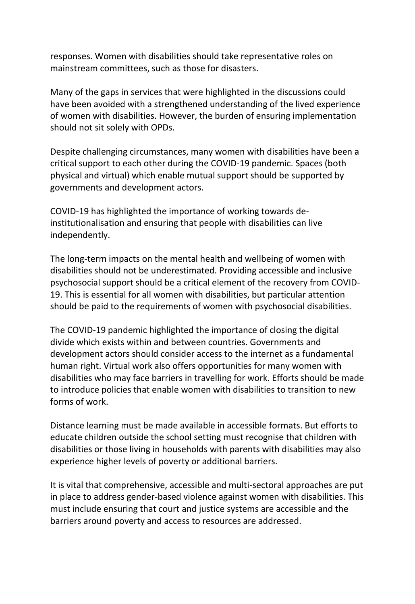responses. Women with disabilities should take representative roles on mainstream committees, such as those for disasters.

Many of the gaps in services that were highlighted in the discussions could have been avoided with a strengthened understanding of the lived experience of women with disabilities. However, the burden of ensuring implementation should not sit solely with OPDs.

Despite challenging circumstances, many women with disabilities have been a critical support to each other during the COVID-19 pandemic. Spaces (both physical and virtual) which enable mutual support should be supported by governments and development actors.

COVID-19 has highlighted the importance of working towards deinstitutionalisation and ensuring that people with disabilities can live independently.

The long-term impacts on the mental health and wellbeing of women with disabilities should not be underestimated. Providing accessible and inclusive psychosocial support should be a critical element of the recovery from COVID-19. This is essential for all women with disabilities, but particular attention should be paid to the requirements of women with psychosocial disabilities.

The COVID-19 pandemic highlighted the importance of closing the digital divide which exists within and between countries. Governments and development actors should consider access to the internet as a fundamental human right. Virtual work also offers opportunities for many women with disabilities who may face barriers in travelling for work. Efforts should be made to introduce policies that enable women with disabilities to transition to new forms of work.

Distance learning must be made available in accessible formats. But efforts to educate children outside the school setting must recognise that children with disabilities or those living in households with parents with disabilities may also experience higher levels of poverty or additional barriers.

It is vital that comprehensive, accessible and multi-sectoral approaches are put in place to address gender-based violence against women with disabilities. This must include ensuring that court and justice systems are accessible and the barriers around poverty and access to resources are addressed.